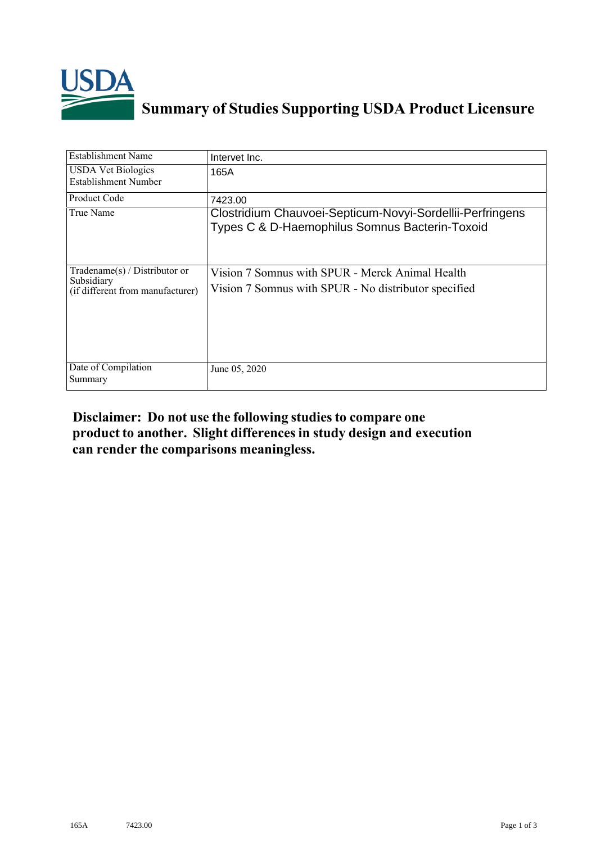

## **Summary of Studies Supporting USDA Product Licensure**

| <b>Establishment Name</b>                                                          | Intervet Inc.                                                                                               |
|------------------------------------------------------------------------------------|-------------------------------------------------------------------------------------------------------------|
| <b>USDA Vet Biologics</b><br>Establishment Number                                  | 165A                                                                                                        |
| <b>Product Code</b>                                                                | 7423.00                                                                                                     |
| True Name                                                                          | Clostridium Chauvoei-Septicum-Novyi-Sordellii-Perfringens<br>Types C & D-Haemophilus Somnus Bacterin-Toxoid |
| Tradename $(s)$ / Distributor or<br>Subsidiary<br>(if different from manufacturer) | Vision 7 Somnus with SPUR - Merck Animal Health<br>Vision 7 Sommus with SPUR - No distributor specified     |
| Date of Compilation<br>Summary                                                     | June 05, 2020                                                                                               |

## **Disclaimer: Do not use the following studiesto compare one product to another. Slight differencesin study design and execution can render the comparisons meaningless.**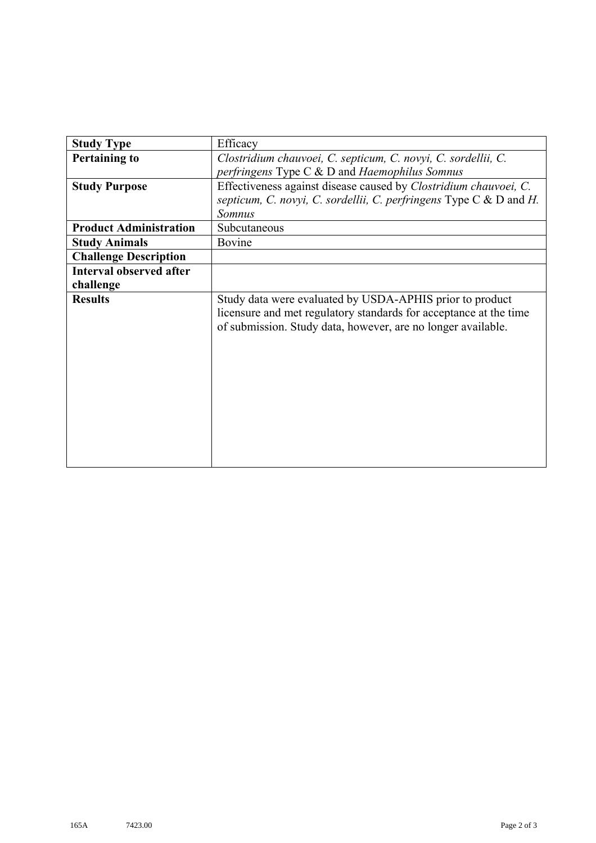| <b>Study Type</b>              | Efficacy                                                                                                                                                                                      |
|--------------------------------|-----------------------------------------------------------------------------------------------------------------------------------------------------------------------------------------------|
|                                | Clostridium chauvoei, C. septicum, C. novyi, C. sordellii, C.                                                                                                                                 |
| <b>Pertaining to</b>           |                                                                                                                                                                                               |
|                                | perfringens Type $C$ & D and Haemophilus Somnus                                                                                                                                               |
| <b>Study Purpose</b>           | Effectiveness against disease caused by Clostridium chauvoei, C.                                                                                                                              |
|                                | septicum, C. novyi, C. sordellii, C. perfringens Type C & D and H.                                                                                                                            |
|                                | <b>Somnus</b>                                                                                                                                                                                 |
| <b>Product Administration</b>  | Subcutaneous                                                                                                                                                                                  |
| <b>Study Animals</b>           | Bovine                                                                                                                                                                                        |
| <b>Challenge Description</b>   |                                                                                                                                                                                               |
| <b>Interval observed after</b> |                                                                                                                                                                                               |
| challenge                      |                                                                                                                                                                                               |
| <b>Results</b>                 | Study data were evaluated by USDA-APHIS prior to product<br>licensure and met regulatory standards for acceptance at the time<br>of submission. Study data, however, are no longer available. |